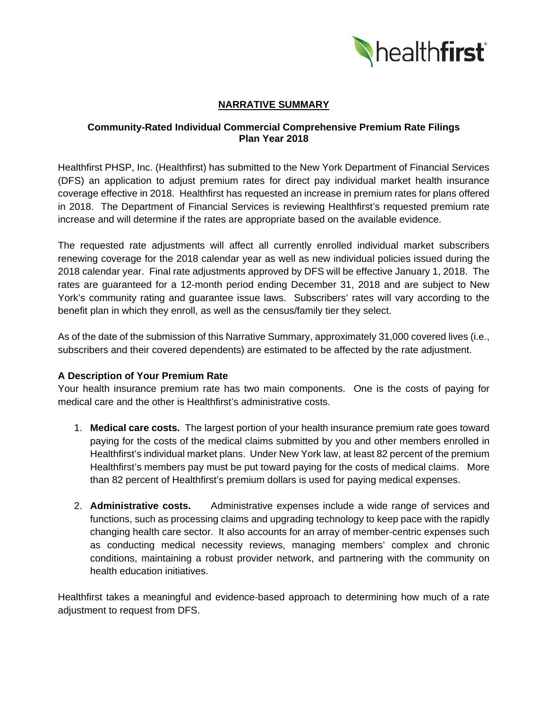

# **NARRATIVE SUMMARY**

#### **Community-Rated Individual Commercial Comprehensive Premium Rate Filings Plan Year 2018**

Healthfirst PHSP, Inc. (Healthfirst) has submitted to the New York Department of Financial Services (DFS) an application to adjust premium rates for direct pay individual market health insurance coverage effective in 2018. Healthfirst has requested an increase in premium rates for plans offered in 2018. The Department of Financial Services is reviewing Healthfirst's requested premium rate increase and will determine if the rates are appropriate based on the available evidence.

The requested rate adjustments will affect all currently enrolled individual market subscribers renewing coverage for the 2018 calendar year as well as new individual policies issued during the 2018 calendar year. Final rate adjustments approved by DFS will be effective January 1, 2018. The rates are guaranteed for a 12-month period ending December 31, 2018 and are subject to New York's community rating and guarantee issue laws. Subscribers' rates will vary according to the benefit plan in which they enroll, as well as the census/family tier they select.

As of the date of the submission of this Narrative Summary, approximately 31,000 covered lives (i.e., subscribers and their covered dependents) are estimated to be affected by the rate adjustment.

#### **A Description of Your Premium Rate**

Your health insurance premium rate has two main components. One is the costs of paying for medical care and the other is Healthfirst's administrative costs.

- 1. **Medical care costs.** The largest portion of your health insurance premium rate goes toward paying for the costs of the medical claims submitted by you and other members enrolled in Healthfirst's individual market plans. Under New York law, at least 82 percent of the premium Healthfirst's members pay must be put toward paying for the costs of medical claims. More than 82 percent of Healthfirst's premium dollars is used for paying medical expenses.
- 2. **Administrative costs.** Administrative expenses include a wide range of services and functions, such as processing claims and upgrading technology to keep pace with the rapidly changing health care sector. It also accounts for an array of member-centric expenses such as conducting medical necessity reviews, managing members' complex and chronic conditions, maintaining a robust provider network, and partnering with the community on health education initiatives.

Healthfirst takes a meaningful and evidence-based approach to determining how much of a rate adjustment to request from DFS.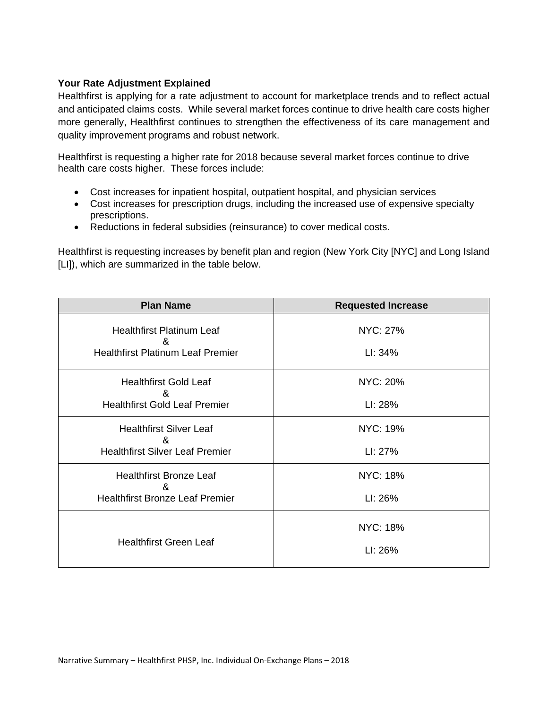# **Your Rate Adjustment Explained**

Healthfirst is applying for a rate adjustment to account for marketplace trends and to reflect actual and anticipated claims costs. While several market forces continue to drive health care costs higher more generally, Healthfirst continues to strengthen the effectiveness of its care management and quality improvement programs and robust network.

Healthfirst is requesting a higher rate for 2018 because several market forces continue to drive health care costs higher. These forces include:

- Cost increases for inpatient hospital, outpatient hospital, and physician services
- Cost increases for prescription drugs, including the increased use of expensive specialty prescriptions.
- Reductions in federal subsidies (reinsurance) to cover medical costs.

Healthfirst is requesting increases by benefit plan and region (New York City [NYC] and Long Island [LI]), which are summarized in the table below.

| <b>Plan Name</b>                         | <b>Requested Increase</b> |
|------------------------------------------|---------------------------|
| <b>Healthfirst Platinum Leaf</b><br>&    | NYC: 27%                  |
| <b>Healthfirst Platinum Leaf Premier</b> | LI: 34%                   |
| <b>Healthfirst Gold Leaf</b><br>ጼ        | <b>NYC: 20%</b>           |
| <b>Healthfirst Gold Leaf Premier</b>     | LI: 28%                   |
| <b>Healthfirst Silver Leaf</b><br>&      | <b>NYC: 19%</b>           |
| <b>Healthfirst Silver Leaf Premier</b>   | LI: 27%                   |
| <b>Healthfirst Bronze Leaf</b><br>&      | <b>NYC: 18%</b>           |
| <b>Healthfirst Bronze Leaf Premier</b>   | LI: 26%                   |
| <b>Healthfirst Green Leaf</b>            | <b>NYC: 18%</b>           |
|                                          | LI: 26%                   |